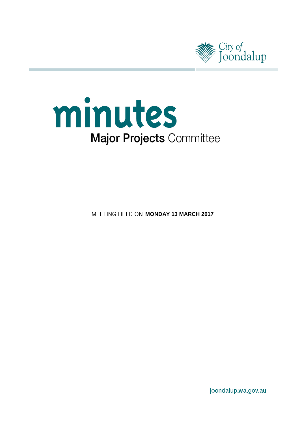

# minutes **Major Projects Committee**

**MEETING HELD ON MONDAY 13 MARCH 2017** 

joondalup.wa.gov.au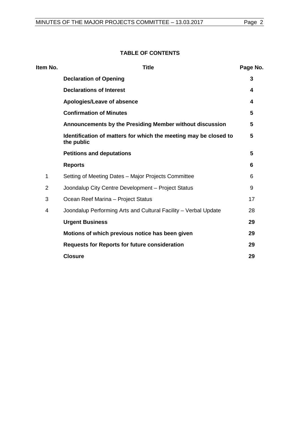#### **TABLE OF CONTENTS**

| Item No.       | <b>Title</b>                                                                   | Page No. |
|----------------|--------------------------------------------------------------------------------|----------|
|                | <b>Declaration of Opening</b>                                                  | 3        |
|                | <b>Declarations of Interest</b>                                                | 4        |
|                | Apologies/Leave of absence                                                     | 4        |
|                | <b>Confirmation of Minutes</b>                                                 | 5        |
|                | Announcements by the Presiding Member without discussion                       | 5        |
|                | Identification of matters for which the meeting may be closed to<br>the public | 5        |
|                | <b>Petitions and deputations</b>                                               | 5        |
|                | <b>Reports</b>                                                                 | 6        |
| 1              | Setting of Meeting Dates - Major Projects Committee                            | 6        |
| $\overline{2}$ | Joondalup City Centre Development - Project Status                             | 9        |
| 3              | Ocean Reef Marina - Project Status                                             | 17       |
| 4              | Joondalup Performing Arts and Cultural Facility - Verbal Update                | 28       |
|                | <b>Urgent Business</b>                                                         | 29       |
|                | Motions of which previous notice has been given                                | 29       |
|                | <b>Requests for Reports for future consideration</b>                           | 29       |
|                | <b>Closure</b>                                                                 | 29       |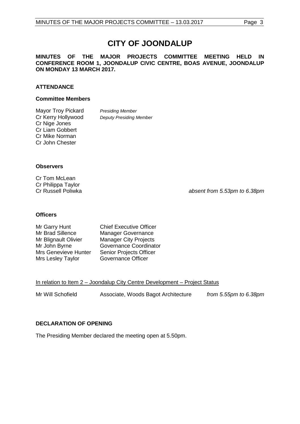## **CITY OF JOONDALUP**

#### **MINUTES OF THE MAJOR PROJECTS COMMITTEE MEETING HELD IN CONFERENCE ROOM 1, JOONDALUP CIVIC CENTRE, BOAS AVENUE, JOONDALUP ON MONDAY 13 MARCH 2017.**

#### **ATTENDANCE**

#### **Committee Members**

Mayor Troy Pickard *Presiding Member*<br>Cr Kerry Hollywood *Deputy Presiding N* Cr Nige Jones Cr Liam Gobbert Cr Mike Norman Cr John Chester

**Deputy Presiding Member** 

#### **Observers**

Cr Tom McLean Cr Philippa Taylor<br>Cr Russell Poliwka

absent from 5.53pm to 6.38pm

#### **Officers**

| Mr Garry Hunt        | <b>Chief Executive Officer</b> |
|----------------------|--------------------------------|
| Mr Brad Sillence     | Manager Governance             |
| Mr Blignault Olivier | <b>Manager City Projects</b>   |
| Mr John Byrne        | <b>Governance Coordinator</b>  |
| Mrs Genevieve Hunter | Senior Projects Officer        |
| Mrs Lesley Taylor    | Governance Officer             |

#### In relation to Item 2 - Joondalup City Centre Development - Project Status

| Mr Will Schofield | Associate, Woods Bagot Architecture | from 5.55pm to 6.38pm |
|-------------------|-------------------------------------|-----------------------|
|                   |                                     |                       |

#### <span id="page-2-0"></span>**DECLARATION OF OPENING**

<span id="page-2-1"></span>The Presiding Member declared the meeting open at 5.50pm.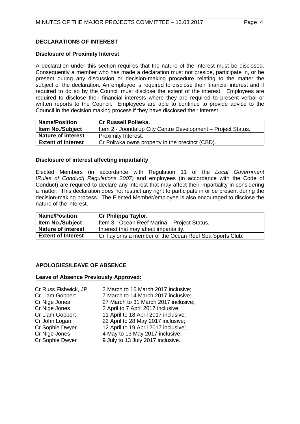#### **DECLARATIONS OF INTEREST**

#### **Disclosure of Proximity Interest**

A declaration under this section requires that the nature of the interest must be disclosed. Consequently a member who has made a declaration must not preside, participate in, or be present during any discussion or decision-making procedure relating to the matter the subject of the declaration. An employee is required to disclose their financial interest and if required to do so by the Council must disclose the extent of the interest. Employees are required to disclose their financial interests where they are required to present verbal or written reports to the Council. Employees are able to continue to provide advice to the Council in the decision making process if they have disclosed their interest.

| <b>Name/Position</b>      | <b>Cr Russell Poliwka.</b>                                   |
|---------------------------|--------------------------------------------------------------|
| <b>Item No./Subject</b>   | Item 2 - Joondalup City Centre Development - Project Status. |
| <b>Nature of interest</b> | <b>Proximity Interest.</b>                                   |
| <b>Extent of Interest</b> | Cr Poliwka owns property in the precinct (CBD).              |

#### **Disclosure of interest affecting impartiality**

Elected Members (in accordance with Regulation 11 of the *Local Government [Rules of Conduct] Regulations 2007)* and employees (in accordance with the Code of Conduct) are required to declare any interest that may affect their impartiality in considering a matter. This declaration does not restrict any right to participate in or be present during the decision-making process. The Elected Member/employee is also encouraged to disclose the nature of the interest.

| <b>Name/Position</b>      | Cr Philippa Taylor.                                      |
|---------------------------|----------------------------------------------------------|
| <b>Item No./Subject</b>   | Item 3 - Ocean Reef Marina - Project Status.             |
| <b>Nature of interest</b> | Interest that may affect impartiality.                   |
| <b>Extent of Interest</b> | Cr Taylor is a member of the Ocean Reef Sea Sports Club. |

#### <span id="page-3-0"></span>**APOLOGIES/LEAVE OF ABSENCE**

#### **Leave of Absence Previously Approved:**

| Cr Russ Fishwick, JP | 2 March to 16 March 2017 inclusive;  |
|----------------------|--------------------------------------|
| Cr Liam Gobbert      | 7 March to 14 March 2017 inclusive;  |
| Cr Nige Jones        | 27 March to 31 March 2017 inclusive; |
| Cr Nige Jones        | 2 April to 7 April 2017 inclusive;   |
| Cr Liam Gobbert      | 11 April to 18 April 2017 inclusive; |
| Cr John Logan        | 22 April to 28 May 2017 inclusive;   |
| Cr Sophie Dwyer      | 12 April to 19 April 2017 inclusive; |
| Cr Nige Jones        | 4 May to 13 May 2017 inclusive;      |
| Cr Sophie Dwyer      | 9 July to 13 July 2017 inclusive.    |
|                      |                                      |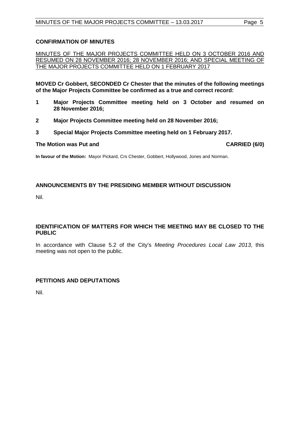#### <span id="page-4-0"></span>**CONFIRMATION OF MINUTES**

MINUTES OF THE MAJOR PROJECTS COMMITTEE HELD ON 3 OCTOBER 2016 AND RESUMED ON 28 NOVEMBER 2016; 28 NOVEMBER 2016; AND SPECIAL MEETING OF THE MAJOR PROJECTS COMMITTEE HELD ON 1 FEBRUARY 2017

**MOVED Cr Gobbert, SECONDED Cr Chester that the minutes of the following meetings of the Major Projects Committee be confirmed as a true and correct record:**

- **1 Major Projects Committee meeting held on 3 October and resumed on 28 November 2016;**
- **2 Major Projects Committee meeting held on 28 November 2016;**
- **3 Special Major Projects Committee meeting held on 1 February 2017.**

#### **The Motion was Put and CARRIED (6/0)**

**In favour of the Motion:** Mayor Pickard, Crs Chester, Gobbert, Hollywood, Jones and Norman.

#### <span id="page-4-1"></span>**ANNOUNCEMENTS BY THE PRESIDING MEMBER WITHOUT DISCUSSION**

Nil.

#### <span id="page-4-2"></span>**IDENTIFICATION OF MATTERS FOR WHICH THE MEETING MAY BE CLOSED TO THE PUBLIC**

In accordance with Clause 5.2 of the City's *Meeting Procedures Local Law 2013*, this meeting was not open to the public.

#### <span id="page-4-3"></span>**PETITIONS AND DEPUTATIONS**

Nil.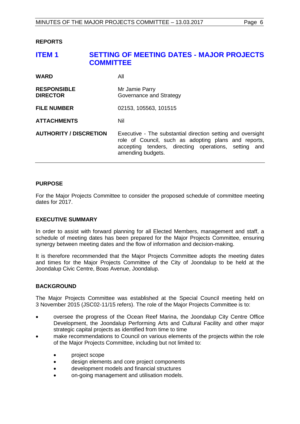#### <span id="page-5-0"></span>**REPORTS**

# <span id="page-5-1"></span>**ITEM 1 SETTING OF MEETING DATES - MAJOR PROJECTS COMMITTEE WARD** All **RESPONSIBLE** Mr Jamie Parry<br>**DIRECTOR** Governance and **Governance and Strategy FILE NUMBER** 02153, 105563, 101515 **ATTACHMENTS** Nil

**AUTHORITY / DISCRETION** Executive - The substantial direction setting and oversight role of Council, such as adopting plans and reports, accepting tenders, directing operations, setting and amending budgets.

#### **PURPOSE**

For the Major Projects Committee to consider the proposed schedule of committee meeting dates for 2017.

#### **EXECUTIVE SUMMARY**

In order to assist with forward planning for all Elected Members, management and staff, a schedule of meeting dates has been prepared for the Major Projects Committee, ensuring synergy between meeting dates and the flow of information and decision-making.

It is therefore recommended that the Major Projects Committee adopts the meeting dates and times for the Major Projects Committee of the City of Joondalup to be held at the Joondalup Civic Centre, Boas Avenue, Joondalup.

#### **BACKGROUND**

The Major Projects Committee was established at the Special Council meeting held on 3 November 2015 (JSC02-11/15 refers). The role of the Major Projects Committee is to:

- oversee the progress of the Ocean Reef Marina, the Joondalup City Centre Office Development, the Joondalup Performing Arts and Cultural Facility and other major strategic capital projects as identified from time to time
- make recommendations to Council on various elements of the projects within the role of the Major Projects Committee, including but not limited to:
	- project scope
	- design elements and core project components
	- development models and financial structures
	- on-going management and utilisation models.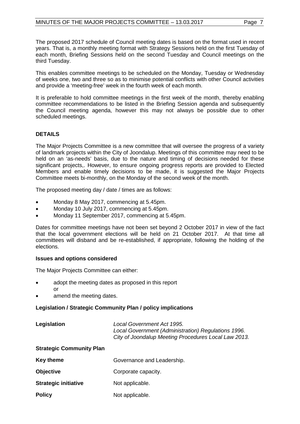The proposed 2017 schedule of Council meeting dates is based on the format used in recent years. That is, a monthly meeting format with Strategy Sessions held on the first Tuesday of each month, Briefing Sessions held on the second Tuesday and Council meetings on the third Tuesday.

This enables committee meetings to be scheduled on the Monday, Tuesday or Wednesday of weeks one, two and three so as to minimise potential conflicts with other Council activities and provide a 'meeting-free' week in the fourth week of each month.

It is preferable to hold committee meetings in the first week of the month, thereby enabling committee recommendations to be listed in the Briefing Session agenda and subsequently the Council meeting agenda, however this may not always be possible due to other scheduled meetings.

#### **DETAILS**

The Major Projects Committee is a new committee that will oversee the progress of a variety of landmark projects within the City of Joondalup. Meetings of this committee may need to be held on an 'as-needs' basis, due to the nature and timing of decisions needed for these significant projects,. However, to ensure ongoing progress reports are provided to Elected Members and enable timely decisions to be made, it is suggested the Major Projects Committee meets bi-monthly, on the Monday of the second week of the month.

The proposed meeting day / date / times are as follows:

- Monday 8 May 2017, commencing at 5.45pm.
- Monday 10 July 2017, commencing at 5.45pm.
- Monday 11 September 2017, commencing at 5.45pm.

Dates for committee meetings have not been set beyond 2 October 2017 in view of the fact that the local government elections will be held on 21 October 2017. At that time all committees will disband and be re-established, if appropriate, following the holding of the elections.

#### **Issues and options considered**

The Major Projects Committee can either:

- adopt the meeting dates as proposed in this report or
- amend the meeting dates.

#### **Legislation / Strategic Community Plan / policy implications**

**Legislation** *Local Government Act 1995. Local Government (Administration) Regulations 1996. City of Joondalup Meeting Procedures Local Law 2013*.

#### **Strategic Community Plan**

| Key theme                   | Governance and Leadership. |
|-----------------------------|----------------------------|
| <b>Objective</b>            | Corporate capacity.        |
| <b>Strategic initiative</b> | Not applicable.            |
| <b>Policy</b>               | Not applicable.            |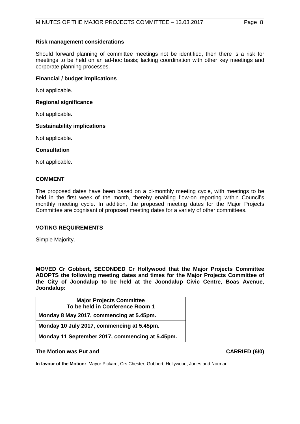#### **Risk management considerations**

Should forward planning of committee meetings not be identified, then there is a risk for meetings to be held on an ad-hoc basis; lacking coordination with other key meetings and corporate planning processes.

#### **Financial / budget implications**

Not applicable.

#### **Regional significance**

Not applicable.

#### **Sustainability implications**

Not applicable.

#### **Consultation**

Not applicable.

#### **COMMENT**

The proposed dates have been based on a bi-monthly meeting cycle, with meetings to be held in the first week of the month, thereby enabling flow-on reporting within Council's monthly meeting cycle. In addition, the proposed meeting dates for the Major Projects Committee are cognisant of proposed meeting dates for a variety of other committees.

#### **VOTING REQUIREMENTS**

Simple Majority.

**MOVED Cr Gobbert, SECONDED Cr Hollywood that the Major Projects Committee ADOPTS the following meeting dates and times for the Major Projects Committee of the City of Joondalup to be held at the Joondalup Civic Centre, Boas Avenue, Joondalup:**

| <b>Major Projects Committee</b>                 |
|-------------------------------------------------|
| To be held in Conference Room 1                 |
| Monday 8 May 2017, commencing at 5.45pm.        |
| Monday 10 July 2017, commencing at 5.45pm.      |
| Monday 11 September 2017, commencing at 5.45pm. |

#### **The Motion was Put and CARRIED (6/0)**

**In favour of the Motion:** Mayor Pickard, Crs Chester, Gobbert, Hollywood, Jones and Norman.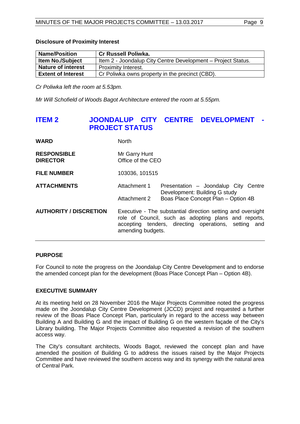#### **Disclosure of Proximity Interest**

| <b>Name/Position</b>      | <b>Cr Russell Poliwka.</b>                                   |
|---------------------------|--------------------------------------------------------------|
| <b>Item No./Subject</b>   | Item 2 - Joondalup City Centre Development – Project Status. |
| <b>Nature of interest</b> | <b>Proximity Interest.</b>                                   |
| <b>Extent of Interest</b> | Cr Poliwka owns property in the precinct (CBD).              |

*Cr Poliwka left the room at 5.53pm.*

*Mr Will Schofield of Woods Bagot Architecture entered the room at 5.55pm.*

### <span id="page-8-0"></span>**ITEM 2 JOONDALUP CITY CENTRE DEVELOPMENT - PROJECT STATUS**

| WARD                                  | <b>North</b>                       |                                                                                                                                                                             |
|---------------------------------------|------------------------------------|-----------------------------------------------------------------------------------------------------------------------------------------------------------------------------|
| <b>RESPONSIBLE</b><br><b>DIRECTOR</b> | Mr Garry Hunt<br>Office of the CEO |                                                                                                                                                                             |
| <b>FILE NUMBER</b>                    | 103036, 101515                     |                                                                                                                                                                             |
| <b>ATTACHMENTS</b>                    | Attachment 1<br>Attachment 2       | Presentation - Joondalup City Centre<br>Development: Building G study<br>Boas Place Concept Plan - Option 4B                                                                |
| <b>AUTHORITY / DISCRETION</b>         | amending budgets.                  | Executive - The substantial direction setting and oversight<br>role of Council, such as adopting plans and reports,<br>accepting tenders, directing operations, setting and |

#### **PURPOSE**

For Council to note the progress on the Joondalup City Centre Development and to endorse the amended concept plan for the development (Boas Place Concept Plan – Option 4B).

#### **EXECUTIVE SUMMARY**

At its meeting held on 28 November 2016 the Major Projects Committee noted the progress made on the Joondalup City Centre Development (JCCD) project and requested a further review of the Boas Place Concept Plan, particularly in regard to the access way between Building A and Building G and the impact of Building G on the western façade of the City's Library building. The Major Projects Committee also requested a revision of the southern access way.

The City's consultant architects, Woods Bagot, reviewed the concept plan and have amended the position of Building G to address the issues raised by the Major Projects Committee and have reviewed the southern access way and its synergy with the natural area of Central Park.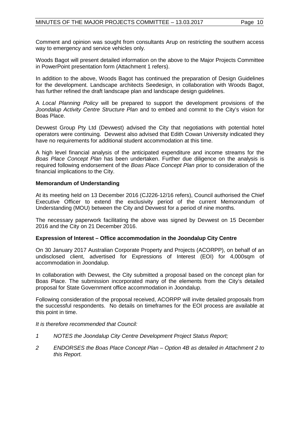Comment and opinion was sought from consultants Arup on restricting the southern access way to emergency and service vehicles only.

Woods Bagot will present detailed information on the above to the Major Projects Committee in PowerPoint presentation form (Attachment 1 refers).

In addition to the above, Woods Bagot has continued the preparation of Design Guidelines for the development. Landscape architects Seedesign, in collaboration with Woods Bagot, has further refined the draft landscape plan and landscape design guidelines.

A *Local Planning Policy* will be prepared to support the development provisions of the *Joondalup Activity Centre Structure Plan* and to embed and commit to the City's vision for Boas Place.

Devwest Group Pty Ltd (Devwest) advised the City that negotiations with potential hotel operators were continuing. Devwest also advised that Edith Cowan University indicated they have no requirements for additional student accommodation at this time.

A high level financial analysis of the anticipated expenditure and income streams for the *Boas Place Concept Plan* has been undertaken. Further due diligence on the analysis is required following endorsement of the *Boas Place Concept Plan* prior to consideration of the financial implications to the City.

#### **Memorandum of Understanding**

At its meeting held on 13 December 2016 (CJ226-12/16 refers), Council authorised the Chief Executive Officer to extend the exclusivity period of the current Memorandum of Understanding (MOU) between the City and Devwest for a period of nine months.

The necessary paperwork facilitating the above was signed by Devwest on 15 December 2016 and the City on 21 December 2016.

#### **Expression of Interest – Office accommodation in the Joondalup City Centre**

On 30 January 2017 Australian Corporate Property and Projects (ACORPP), on behalf of an undisclosed client, advertised for Expressions of Interest (EOI) for 4,000sqm of accommodation in Joondalup.

In collaboration with Devwest, the City submitted a proposal based on the concept plan for Boas Place. The submission incorporated many of the elements from the City's detailed proposal for State Government office accommodation in Joondalup.

Following consideration of the proposal received, ACORPP will invite detailed proposals from the successful respondents. No details on timeframes for the EOI process are available at this point in time.

*It is therefore recommended that Council:*

- *1 NOTES the Joondalup City Centre Development Project Status Report;*
- *2 ENDORSES the Boas Place Concept Plan – Option 4B as detailed in Attachment 2 to this Report.*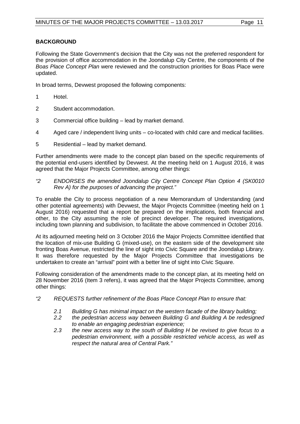#### **BACKGROUND**

Following the State Government's decision that the City was not the preferred respondent for the provision of office accommodation in the Joondalup City Centre, the components of the *Boas Place Concept Plan* were reviewed and the construction priorities for Boas Place were updated.

In broad terms, Devwest proposed the following components:

- 1 Hotel.
- 2 Student accommodation.
- 3 Commercial office building lead by market demand.
- 4 Aged care / independent living units co-located with child care and medical facilities.
- 5 Residential lead by market demand.

Further amendments were made to the concept plan based on the specific requirements of the potential end-users identified by Devwest. At the meeting held on 1 August 2016, it was agreed that the Major Projects Committee, among other things:

*"2 ENDORSES the amended Joondalup City Centre Concept Plan Option 4 (SK0010 Rev A) for the purposes of advancing the project."*

To enable the City to process negotiation of a new Memorandum of Understanding (and other potential agreements) with Devwest, the Major Projects Committee (meeting held on 1 August 2016) requested that a report be prepared on the implications, both financial and other, to the City assuming the role of precinct developer. The required investigations, including town planning and subdivision, to facilitate the above commenced in October 2016.

At its adjourned meeting held on 3 October 2016 the Major Projects Committee identified that the location of mix-use Building G (mixed-use), on the eastern side of the development site fronting Boas Avenue, restricted the line of sight into Civic Square and the Joondalup Library. It was therefore requested by the Major Projects Committee that investigations be undertaken to create an "arrival" point with a better line of sight into Civic Square.

Following consideration of the amendments made to the concept plan, at its meeting held on 28 November 2016 (Item 3 refers), it was agreed that the Major Projects Committee, among other things:

- *"2 REQUESTS further refinement of the Boas Place Concept Plan to ensure that:*
	- *2.1 Building G has minimal impact on the western facade of the library building;*
	- *2.2 the pedestrian access way between Building G and Building A be redesigned to enable an engaging pedestrian experience;*
	- *2.3 the new access way to the south of Building H be revised to give focus to a pedestrian environment, with a possible restricted vehicle access, as well as respect the natural area of Central Park."*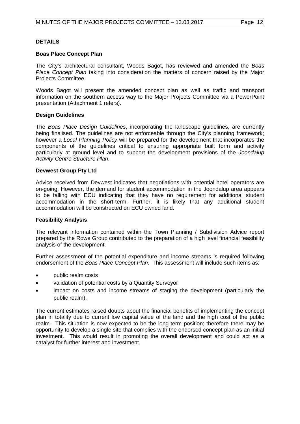#### **DETAILS**

#### **Boas Place Concept Plan**

The City's architectural consultant, Woods Bagot, has reviewed and amended the *Boas Place Concept Plan* taking into consideration the matters of concern raised by the Major Projects Committee.

Woods Bagot will present the amended concept plan as well as traffic and transport information on the southern access way to the Major Projects Committee via a PowerPoint presentation (Attachment 1 refers).

#### **Design Guidelines**

The *Boas Place Design Guidelines*, incorporating the landscape guidelines, are currently being finalised. The guidelines are not enforceable through the City's planning framework; however a *Local Planning Policy* will be prepared for the development that incorporates the components of the guidelines critical to ensuring appropriate built form and activity particularly at ground level and to support the development provisions of the *Joondalup Activity Centre Structure Plan*.

#### **Devwest Group Pty Ltd**

Advice received from Devwest indicates that negotiations with potential hotel operators are on-going. However, the demand for student accommodation in the Joondalup area appears to be falling with ECU indicating that they have no requirement for additional student accommodation in the short-term. Further, it is likely that any additional student accommodation will be constructed on ECU owned land.

#### **Feasibility Analysis**

The relevant information contained within the Town Planning / Subdivision Advice report prepared by the Rowe Group contributed to the preparation of a high level financial feasibility analysis of the development.

Further assessment of the potential expenditure and income streams is required following endorsement of the *Boas Place Concept Plan*. This assessment will include such items as:

- public realm costs
- validation of potential costs by a Quantity Surveyor
- impact on costs and income streams of staging the development (particularly the public realm).

The current estimates raised doubts about the financial benefits of implementing the concept plan in totality due to current low capital value of the land and the high cost of the public realm. This situation is now expected to be the long-term position; therefore there may be opportunity to develop a single site that complies with the endorsed concept plan as an initial investment. This would result in promoting the overall development and could act as a catalyst for further interest and investment.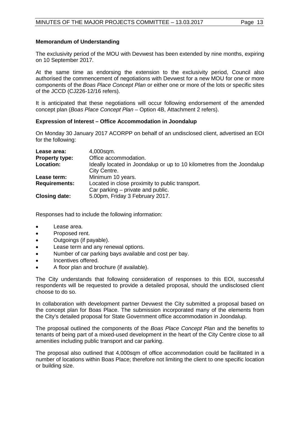#### **Memorandum of Understanding**

The exclusivity period of the MOU with Devwest has been extended by nine months, expiring on 10 September 2017.

At the same time as endorsing the extension to the exclusivity period, Council also authorised the commencement of negotiations with Devwest for a new MOU for one or more components of the *Boas Place Concept Plan* or either one or more of the lots or specific sites of the JCCD (CJ226-12/16 refers).

It is anticipated that these negotiations will occur following endorsement of the amended concept plan (*Boas Place Concept Plan* – Option 4B, Attachment 2 refers).

#### **Expression of Interest – Office Accommodation in Joondalup**

On Monday 30 January 2017 ACORPP on behalf of an undisclosed client, advertised an EOI for the following:

| Lease area:           | 4,000sqm.                                                              |
|-----------------------|------------------------------------------------------------------------|
| <b>Property type:</b> | Office accommodation.                                                  |
| Location:             | Ideally located in Joondalup or up to 10 kilometres from the Joondalup |
|                       | City Centre.                                                           |
| Lease term:           | Minimum 10 years.                                                      |
| <b>Requirements:</b>  | Located in close proximity to public transport.                        |
|                       | Car parking $-$ private and public.                                    |
| <b>Closing date:</b>  | 5.00pm, Friday 3 February 2017.                                        |

Responses had to include the following information:

- Lease area.
- Proposed rent.
- Outgoings (if payable).
- Lease term and any renewal options.
- Number of car parking bays available and cost per bay.
- Incentives offered.
- A floor plan and brochure (if available).

The City understands that following consideration of responses to this EOI, successful respondents will be requested to provide a detailed proposal, should the undisclosed client choose to do so.

In collaboration with development partner Devwest the City submitted a proposal based on the concept plan for Boas Place. The submission incorporated many of the elements from the City's detailed proposal for State Government office accommodation in Joondalup.

The proposal outlined the components of the *Boas Place Concept Plan* and the benefits to tenants of being part of a mixed-used development in the heart of the City Centre close to all amenities including public transport and car parking.

The proposal also outlined that 4,000sqm of office accommodation could be facilitated in a number of locations within Boas Place; therefore not limiting the client to one specific location or building size.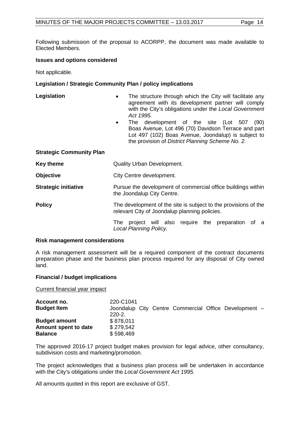Following submission of the proposal to ACORPP, the document was made available to Elected Members.

#### **Issues and options considered**

Not applicable.

#### **Legislation / Strategic Community Plan / policy implications**

| Legislation | The structure through which the City will facilitate any |
|-------------|----------------------------------------------------------|
|             | agreement with its development partner will comply       |
|             | with the City's obligations under the Local Government   |
|             | Act 1995.                                                |
|             |                                                          |

• The development of the site (Lot 507 (90) Boas Avenue, Lot 496 (70) Davidson Terrace and part Lot 497 (102) Boas Avenue, Joondalup) is subject to the provision of *District Planning Scheme No. 2.*

#### **Strategic Community Plan**

| Key theme                   | <b>Quality Urban Development.</b>                                                                                |  |  |
|-----------------------------|------------------------------------------------------------------------------------------------------------------|--|--|
| <b>Objective</b>            | City Centre development.                                                                                         |  |  |
| <b>Strategic initiative</b> | Pursue the development of commercial office buildings within<br>the Joondalup City Centre.                       |  |  |
| <b>Policy</b>               | The development of the site is subject to the provisions of the<br>relevant City of Joondalup planning policies. |  |  |
|                             | project will also require the<br>preparation of a<br>The<br>Local Planning Policy.                               |  |  |

#### **Risk management considerations**

A risk management assessment will be a required component of the contract documents preparation phase and the business plan process required for any disposal of City owned land.

#### **Financial / budget implications**

Current financial year impact

| Account no.<br><b>Budget Item</b>      | 220-C1041<br>$220 - 2$ . |  |  | Joondalup City Centre Commercial Office Development - |
|----------------------------------------|--------------------------|--|--|-------------------------------------------------------|
| <b>Budget amount</b>                   | \$878,011<br>\$279.542   |  |  |                                                       |
| Amount spent to date<br><b>Balance</b> | \$598,469                |  |  |                                                       |

The approved 2016-17 project budget makes provision for legal advice, other consultancy, subdivision costs and marketing/promotion.

The project acknowledges that a business plan process will be undertaken in accordance with the City's obligations under the *Local Government Act 1995.*

All amounts quoted in this report are exclusive of GST.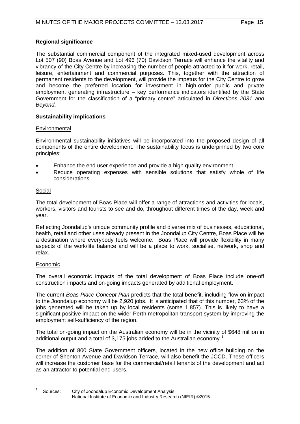#### **Regional significance**

The substantial commercial component of the integrated mixed-used development across Lot 507 (90) Boas Avenue and Lot 496 (70) Davidson Terrace will enhance the vitality and vibrancy of the City Centre by increasing the number of people attracted to it for work, retail, leisure, entertainment and commercial purposes. This, together with the attraction of permanent residents to the development, will provide the impetus for the City Centre to grow and become the preferred location for investment in high-order public and private employment generating infrastructure – key performance indicators identified by the State Government for the classification of a "primary centre" articulated in *Directions 2031 and Beyond.*

#### **Sustainability implications**

#### **Environmental**

Environmental sustainability initiatives will be incorporated into the proposed design of all components of the entire development. The sustainability focus is underpinned by two core principles:

- Enhance the end user experience and provide a high quality environment.
- Reduce operating expenses with sensible solutions that satisfy whole of life considerations.

#### Social

The total development of Boas Place will offer a range of attractions and activities for locals, workers, visitors and tourists to see and do, throughout different times of the day, week and year.

Reflecting Joondalup's unique community profile and diverse mix of businesses, educational, health, retail and other uses already present in the Joondalup City Centre, Boas Place will be a destination where everybody feels welcome. Boas Place will provide flexibility in many aspects of the work/life balance and will be a place to work, socialise, network, shop and relax.

#### Economic

The overall economic impacts of the total development of Boas Place include one-off construction impacts and on-going impacts generated by additional employment.

The current *Boas Place Concept Plan* predicts that the total benefit, including flow on impact to the Joondalup economy will be 2,920 jobs. It is anticipated that of this number, 63% of the jobs generated will be taken up by local residents (some 1,857). This is likely to have a significant positive impact on the wider Perth metropolitan transport system by improving the employment self-sufficiency of the region.

The total on-going impact on the Australian economy will be in the vicinity of \$648 million in additional output and a total of 3,[1](#page-14-0)75 jobs added to the Australian economy.<sup>1</sup>

The addition of 800 State Government officers, located in the new office building on the corner of Shenton Avenue and Davidson Terrace, will also benefit the JCCD. These officers will increase the customer base for the commercial/retail tenants of the development and act as an attractor to potential end-users.

<span id="page-14-0"></span>Sources: City of Joondalup Economic Development Analysis National Institute of Economic and Industry Research (NIEIR) ©2015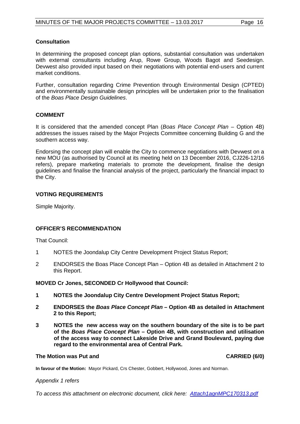#### **Consultation**

In determining the proposed concept plan options, substantial consultation was undertaken with external consultants including Arup, Rowe Group, Woods Bagot and Seedesign. Devwest also provided input based on their negotiations with potential end-users and current market conditions.

Further, consultation regarding Crime Prevention through Environmental Design (CPTED) and environmentally sustainable design principles will be undertaken prior to the finalisation of the *Boas Place Design Guidelines*.

#### **COMMENT**

It is considered that the amended concept Plan (*Boas Place Concept Plan* – Option 4B) addresses the issues raised by the Major Projects Committee concerning Building G and the southern access way.

Endorsing the concept plan will enable the City to commence negotiations with Devwest on a new MOU (as authorised by Council at its meeting held on 13 December 2016, CJ226-12/16 refers), prepare marketing materials to promote the development, finalise the design guidelines and finalise the financial analysis of the project, particularly the financial impact to the City.

#### **VOTING REQUIREMENTS**

Simple Majority.

#### **OFFICER'S RECOMMENDATION**

That Council:

- 1 NOTES the Joondalup City Centre Development Project Status Report;
- 2 ENDORSES the Boas Place Concept Plan Option 4B as detailed in Attachment 2 to this Report.

#### **MOVED Cr Jones, SECONDED Cr Hollywood that Council:**

- **1 NOTES the Joondalup City Centre Development Project Status Report;**
- **2 ENDORSES the** *Boas Place Concept Plan* **– Option 4B as detailed in Attachment 2 to this Report;**
- **3 NOTES the new access way on the southern boundary of the site is to be part of the** *Boas Place Concept Plan* **– Option 4B, with construction and utilisation of the access way to connect Lakeside Drive and Grand Boulevard, paying due regard to the environmental area of Central Park.**

#### **The Motion was Put and CARRIED (6/0)**

**In favour of the Motion:** Mayor Pickard, Crs Chester, Gobbert, Hollywood, Jones and Norman.

#### *Appendix 1 refers*

*[To access this attachment on electronic document, click here: Attach1agnMPC170313.pdf](http://www.joondalup.wa.gov.au/files/committees/MAPC/2017/Attach1agnMPC170313.pdf)*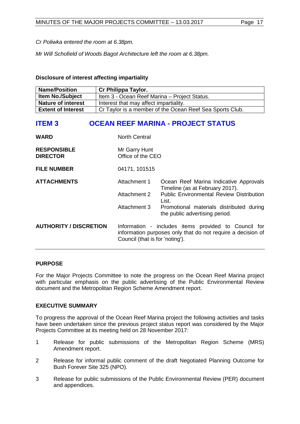*Cr Poliwka entered the room at 6.38pm.*

*Mr Will Schofield of Woods Bagot Architecture left the room at 6.38pm.*

**Disclosure of interest affecting impartiality**

| <b>Name/Position</b>      | Cr Philippa Taylor.                                      |
|---------------------------|----------------------------------------------------------|
| <b>Item No./Subject</b>   | Item 3 - Ocean Reef Marina - Project Status.             |
| <b>Nature of interest</b> | Interest that may affect impartiality.                   |
| <b>Extent of Interest</b> | Cr Taylor is a member of the Ocean Reef Sea Sports Club. |

## <span id="page-16-0"></span>**ITEM 3 OCEAN REEF MARINA - PROJECT STATUS**

| <b>WARD</b>                           | <b>North Central</b>                         |                                                                                                                                                                                   |  |
|---------------------------------------|----------------------------------------------|-----------------------------------------------------------------------------------------------------------------------------------------------------------------------------------|--|
| <b>RESPONSIBLE</b><br><b>DIRECTOR</b> | Mr Garry Hunt<br>Office of the CEO           |                                                                                                                                                                                   |  |
| <b>FILE NUMBER</b>                    | 04171, 101515                                |                                                                                                                                                                                   |  |
| <b>ATTACHMENTS</b>                    | Attachment 1<br>Attachment 2<br>Attachment 3 | Ocean Reef Marina Indicative Approvals<br>Timeline (as at February 2017).<br><b>Public Environmental Review Distribution</b><br>List.<br>Promotional materials distributed during |  |
|                                       |                                              | the public advertising period.                                                                                                                                                    |  |
| <b>AUTHORITY / DISCRETION</b>         | Council (that is for 'noting').              | Information - includes items provided to Council for<br>information purposes only that do not require a decision of                                                               |  |

#### **PURPOSE**

For the Major Projects Committee to note the progress on the Ocean Reef Marina project with particular emphasis on the public advertising of the Public Environmental Review document and the Metropolitan Region Scheme Amendment report.

#### **EXECUTIVE SUMMARY**

To progress the approval of the Ocean Reef Marina project the following activities and tasks have been undertaken since the previous project status report was considered by the Major Projects Committee at its meeting held on 28 November 2017:

- 1 Release for public submissions of the Metropolitan Region Scheme (MRS) Amendment report.
- 2 Release for informal public comment of the draft Negotiated Planning Outcome for Bush Forever Site 325 (NPO).
- 3 Release for public submissions of the Public Environmental Review (PER) document and appendices.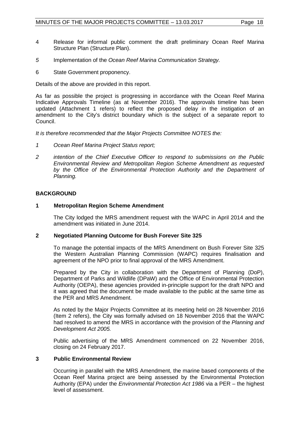- 4 Release for informal public comment the draft preliminary Ocean Reef Marina Structure Plan (Structure Plan).
- *5* Implementation of the *Ocean Reef Marina Communication Strategy.*
- 6 State Government proponency.

Details of the above are provided in this report.

As far as possible the project is progressing in accordance with the Ocean Reef Marina Indicative Approvals Timeline (as at November 2016). The approvals timeline has been updated (Attachment 1 refers) to reflect the proposed delay in the instigation of an amendment to the City's district boundary which is the subject of a separate report to Council.

*It is therefore recommended that the Major Projects Committee NOTES the:*

- *1 Ocean Reef Marina Project Status report;*
- *2 intention of the Chief Executive Officer to respond to submissions on the Public Environmental Review and Metropolitan Region Scheme Amendment as requested*  by the Office of the Environmental Protection Authority and the Department of *Planning.*

#### **BACKGROUND**

#### **1 Metropolitan Region Scheme Amendment**

The City lodged the MRS amendment request with the WAPC in April 2014 and the amendment was initiated in June 2014.

#### **2 Negotiated Planning Outcome for Bush Forever Site 325**

To manage the potential impacts of the MRS Amendment on Bush Forever Site 325 the Western Australian Planning Commission (WAPC) requires finalisation and agreement of the NPO prior to final approval of the MRS Amendment.

Prepared by the City in collaboration with the Department of Planning (DoP), Department of Parks and Wildlife (DPaW) and the Office of Environmental Protection Authority (OEPA), these agencies provided in-principle support for the draft NPO and it was agreed that the document be made available to the public at the same time as the PER and MRS Amendment.

As noted by the Major Projects Committee at its meeting held on 28 November 2016 (Item 2 refers), the City was formally advised on 18 November 2016 that the WAPC had resolved to amend the MRS in accordance with the provision of the *Planning and Development Act 2005.* 

Public advertising of the MRS Amendment commenced on 22 November 2016, closing on 24 February 2017.

#### **3 Public Environmental Review**

Occurring in parallel with the MRS Amendment, the marine based components of the Ocean Reef Marina project are being assessed by the Environmental Protection Authority (EPA) under the *Environmental Protection Act 1986* via a PER – the highest level of assessment.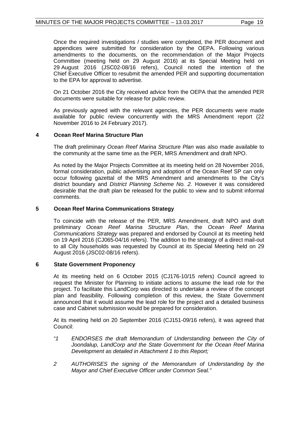Once the required investigations / studies were completed, the PER document and appendices were submitted for consideration by the OEPA. Following various amendments to the documents, on the recommendation of the Major Projects Committee (meeting held on 29 August 2016) at its Special Meeting held on 29 August 2016 (JSC02-08/16 refers), Council noted the intention of the Chief Executive Officer to resubmit the amended PER and supporting documentation to the EPA for approval to advertise.

On 21 October 2016 the City received advice from the OEPA that the amended PER documents were suitable for release for public review.

As previously agreed with the relevant agencies, the PER documents were made available for public review concurrently with the MRS Amendment report (22 November 2016 to 24 February 2017).

#### **4 Ocean Reef Marina Structure Plan**

The draft preliminary *Ocean Reef Marina Structure Plan* was also made available to the community at the same time as the PER, MRS Amendment and draft NPO.

As noted by the Major Projects Committee at its meeting held on 28 November 2016, formal consideration, public advertising and adoption of the Ocean Reef SP can only occur following gazettal of the MRS Amendment and amendments to the City's district boundary and *District Planning Scheme No. 2.* However it was considered desirable that the draft plan be released for the public to view and to submit informal comments.

#### **5 Ocean Reef Marina Communications Strategy**

To coincide with the release of the PER, MRS Amendment, draft NPO and draft preliminary *Ocean Reef Marina Structure Plan*, the *Ocean Reef Marina Communications Strategy* was prepared and endorsed by Council at its meeting held on 19 April 2016 (CJ065-04/16 refers). The addition to the strategy of a direct mail-out to all City households was requested by Council at its Special Meeting held on 29 August 2016 (JSC02-08/16 refers).

#### **6 State Government Proponency**

At its meeting held on 6 October 2015 (CJ176-10/15 refers) Council agreed to request the Minister for Planning to initiate actions to assume the lead role for the project. To facilitate this LandCorp was directed to undertake a review of the concept plan and feasibility. Following completion of this review, the State Government announced that it would assume the lead role for the project and a detailed business case and Cabinet submission would be prepared for consideration.

At its meeting held on 20 September 2016 (CJ151-09/16 refers), it was agreed that Council:

- *"1 ENDORSES the draft Memorandum of Understanding between the City of Joondalup, LandCorp and the State Government for the Ocean Reef Marina Development as detailed in Attachment 1 to this Report;*
- *2 AUTHORISES the signing of the Memorandum of Understanding by the Mayor and Chief Executive Officer under Common Seal."*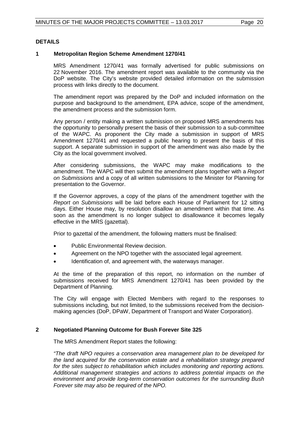#### **DETAILS**

#### **1 Metropolitan Region Scheme Amendment 1270/41**

MRS Amendment 1270/41 was formally advertised for public submissions on 22 November 2016. The amendment report was available to the community via the DoP website. The City's website provided detailed information on the submission process with links directly to the document.

The amendment report was prepared by the DoP and included information on the purpose and background to the amendment, EPA advice, scope of the amendment, the amendment process and the submission form.

Any person / entity making a written submission on proposed MRS amendments has the opportunity to personally present the basis of their submission to a sub-committee of the WAPC. As proponent the City made a submission in support of MRS Amendment 1270/41 and requested a public hearing to present the basis of this support. A separate submission in support of the amendment was also made by the City as the local government involved.

After considering submissions, the WAPC may make modifications to the amendment. The WAPC will then submit the amendment plans together with a *Report on Submissions* and a copy of all written submissions to the Minister for Planning for presentation to the Governor.

If the Governor approves, a copy of the plans of the amendment together with the *Report on Submissions* will be laid before each House of Parliament for 12 sitting days. Either House may, by resolution disallow an amendment within that time. As soon as the amendment is no longer subject to disallowance it becomes legally effective in the MRS (gazettal).

Prior to gazettal of the amendment, the following matters must be finalised:

- Public Environmental Review decision.
- Agreement on the NPO together with the associated legal agreement.
- Identification of, and agreement with, the waterways manager.

At the time of the preparation of this report, no information on the number of submissions received for MRS Amendment 1270/41 has been provided by the Department of Planning.

The City will engage with Elected Members with regard to the responses to submissions including, but not limited, to the submissions received from the decisionmaking agencies (DoP, DPaW, Department of Transport and Water Corporation).

#### **2 Negotiated Planning Outcome for Bush Forever Site 325**

The MRS Amendment Report states the following:

*"The draft NPO requires a conservation area management plan to be developed for the land acquired for the conservation estate and a rehabilitation strategy prepared for the sites subject to rehabilitation which includes monitoring and reporting actions. Additional management strategies and actions to address potential impacts on the environment and provide long-term conservation outcomes for the surrounding Bush Forever site may also be required of the NPO.*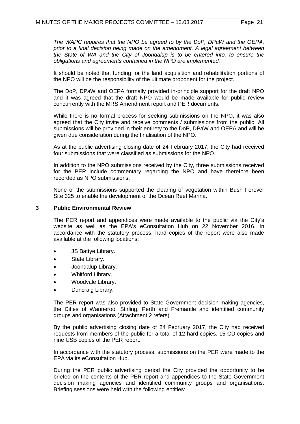*The WAPC requires that the NPO be agreed to by the DoP, DPaW and the OEPA, prior to a final decision being made on the amendment. A legal agreement between the State of WA and the City of Joondalup is to be entered into, to ensure the obligations and agreements contained in the NPO are implemented."*

It should be noted that funding for the land acquisition and rehabilitation portions of the NPO will be the responsibility of the ultimate proponent for the project.

The DoP, DPaW and OEPA formally provided in-principle support for the draft NPO and it was agreed that the draft NPO would be made available for public review concurrently with the MRS Amendment report and PER documents.

While there is no formal process for seeking submissions on the NPO, it was also agreed that the City invite and receive comments / submissions from the public. All submissions will be provided in their entirety to the DoP, DPaW and OEPA and will be given due consideration during the finalisation of the NPO.

As at the public advertising closing date of 24 February 2017, the City had received four submissions that were classified as submissions for the NPO.

In addition to the NPO submissions received by the City, three submissions received for the PER include commentary regarding the NPO and have therefore been recorded as NPO submissions.

None of the submissions supported the clearing of vegetation within Bush Forever Site 325 to enable the development of the Ocean Reef Marina.

#### **3 Public Environmental Review**

The PER report and appendices were made available to the public via the City's website as well as the EPA's eConsultation Hub on 22 November 2016. In accordance with the statutory process, hard copies of the report were also made available at the following locations:

- JS Battye Library.
- State Library.
- Joondalup Library.
- Whitford Library.
- Woodvale Library.
- Duncraig Library.

The PER report was also provided to State Government decision-making agencies, the Cities of Wanneroo, Stirling, Perth and Fremantle and identified community groups and organisations (Attachment 2 refers).

By the public advertising closing date of 24 February 2017, the City had received requests from members of the public for a total of 12 hard copies, 15 CD copies and nine USB copies of the PER report.

In accordance with the statutory process, submissions on the PER were made to the EPA via its eConsultation Hub.

During the PER public advertising period the City provided the opportunity to be briefed on the contents of the PER report and appendices to the State Government decision making agencies and identified community groups and organisations. Briefing sessions were held with the following entities: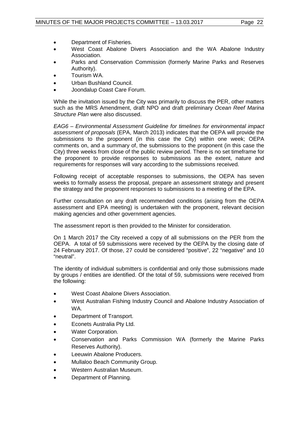- Department of Fisheries.
- West Coast Abalone Divers Association and the WA Abalone Industry Association.
- Parks and Conservation Commission (formerly Marine Parks and Reserves Authority).
- Tourism WA.
- Urban Bushland Council.
- Joondalup Coast Care Forum.

While the invitation issued by the City was primarily to discuss the PER, other matters such as the MRS Amendment, draft NPO and draft preliminary *Ocean Reef Marina Structure Plan* were also discussed.

*EAG6 – Environmental Assessment Guideline for timelines for environmental impact assessment of proposals* (EPA, March 2013) indicates that the OEPA will provide the submissions to the proponent (in this case the City) within one week; OEPA comments on, and a summary of, the submissions to the proponent (in this case the City) three weeks from close of the public review period. There is no set timeframe for the proponent to provide responses to submissions as the extent, nature and requirements for responses will vary according to the submissions received.

Following receipt of acceptable responses to submissions, the OEPA has seven weeks to formally assess the proposal, prepare an assessment strategy and present the strategy and the proponent responses to submissions to a meeting of the EPA.

Further consultation on any draft recommended conditions (arising from the OEPA assessment and EPA meeting) is undertaken with the proponent, relevant decision making agencies and other government agencies.

The assessment report is then provided to the Minister for consideration.

On 1 March 2017 the City received a copy of all submissions on the PER from the OEPA. A total of 59 submissions were received by the OEPA by the closing date of 24 February 2017. Of those, 27 could be considered "positive", 22 "negative" and 10 "neutral".

The identity of individual submitters is confidential and only those submissions made by groups / entities are identified. Of the total of 59, submissions were received from the following:

- West Coast Abalone Divers Association.
- West Australian Fishing Industry Council and Abalone Industry Association of WA.
- Department of Transport.
- Econets Australia Pty Ltd.
- Water Corporation.
- Conservation and Parks Commission WA (formerly the Marine Parks Reserves Authority).
- Leeuwin Abalone Producers.
- Mullaloo Beach Community Group.
- Western Australian Museum.
- Department of Planning.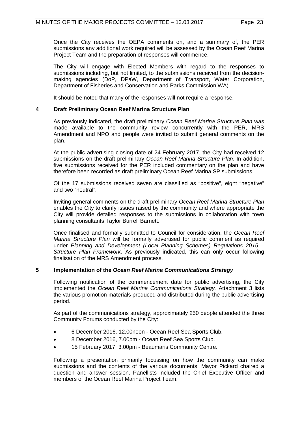Once the City receives the OEPA comments on, and a summary of, the PER submissions any additional work required will be assessed by the Ocean Reef Marina Project Team and the preparation of responses will commence.

The City will engage with Elected Members with regard to the responses to submissions including, but not limited, to the submissions received from the decisionmaking agencies (DoP, DPaW, Department of Transport, Water Corporation, Department of Fisheries and Conservation and Parks Commission WA).

It should be noted that many of the responses will not require a response.

#### **4 Draft Preliminary Ocean Reef Marina Structure Plan**

As previously indicated, the draft preliminary *Ocean Reef Marina Structure Plan* was made available to the community review concurrently with the PER, MRS Amendment and NPO and people were invited to submit general comments on the plan.

At the public advertising closing date of 24 February 2017, the City had received 12 submissions on the draft preliminary *Ocean Reef Marina Structure Plan*. In addition, five submissions received for the PER included commentary on the plan and have therefore been recorded as draft preliminary Ocean Reef Marina SP submissions.

Of the 17 submissions received seven are classified as "positive", eight "negative" and two "neutral".

Inviting general comments on the draft preliminary *Ocean Reef Marina Structure Plan* enables the City to clarify issues raised by the community and where appropriate the City will provide detailed responses to the submissions in collaboration with town planning consultants Taylor Burrell Barnett.

Once finalised and formally submitted to Council for consideration, the *Ocean Reef Marina Structure Plan* will be formally advertised for public comment as required under *Planning and Development (Local Planning Schemes) Regulations 2015 – Structure Plan Framework.* As previously indicated, this can only occur following finalisation of the MRS Amendment process.

#### **5 Implementation of the** *Ocean Reef Marina Communications Strategy*

Following notification of the commencement date for public advertising, the City implemented the *Ocean Reef Marina Communications Strategy.* Attachment 3 lists the various promotion materials produced and distributed during the public advertising period.

As part of the communications strategy, approximately 250 people attended the three Community Forums conducted by the City:

- 6 December 2016, 12.00noon Ocean Reef Sea Sports Club.
- 8 December 2016, 7.00pm Ocean Reef Sea Sports Club.
- 15 February 2017, 3.00pm Beaumaris Community Centre.

Following a presentation primarily focussing on how the community can make submissions and the contents of the various documents, Mayor Pickard chaired a question and answer session. Panellists included the Chief Executive Officer and members of the Ocean Reef Marina Project Team.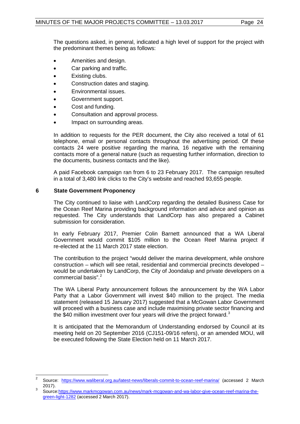The questions asked, in general, indicated a high level of support for the project with the predominant themes being as follows:

- Amenities and design.
- Car parking and traffic.
- Existing clubs.
- Construction dates and staging.
- Environmental issues.
- Government support.
- Cost and funding.
- Consultation and approval process.
- Impact on surrounding areas.

In addition to requests for the PER document, the City also received a total of 61 telephone, email or personal contacts throughout the advertising period. Of these contacts 24 were positive regarding the marina, 16 negative with the remaining contacts more of a general nature (such as requesting further information, direction to the documents, business contacts and the like).

A paid Facebook campaign ran from 6 to 23 February 2017. The campaign resulted in a total of 3,480 link clicks to the City's website and reached 93,655 people.

#### **6 State Government Proponency**

The City continued to liaise with LandCorp regarding the detailed Business Case for the Ocean Reef Marina providing background information and advice and opinion as requested. The City understands that LandCorp has also prepared a Cabinet submission for consideration.

In early February 2017, Premier Colin Barnett announced that a WA Liberal Government would commit \$105 million to the Ocean Reef Marina project if re-elected at the 11 March 2017 state election.

The contribution to the project "would deliver the marina development, while onshore construction – which will see retail, residential and commercial precincts developed – would be undertaken by LandCorp, the City of Joondalup and private developers on a commercial basis".<sup>[2](#page-23-0)</sup>

The WA Liberal Party announcement follows the announcement by the WA Labor Party that a Labor Government will invest \$40 million to the project. The media statement (released 15 January 2017) suggested that a McGowan Labor Government will proceed with a business case and include maximising private sector financing and the \$40 million investment over four years will drive the project forward.<sup>[3](#page-23-0)</sup>

It is anticipated that the Memorandum of Understanding endorsed by Council at its meeting held on 20 September 2016 (CJ151-09/16 refers), or an amended MOU, will be executed following the State Election held on 11 March 2017.

<span id="page-23-0"></span><sup>&</sup>lt;sup>2</sup> Source: <https://www.waliberal.org.au/latest-news/liberals-commit-to-ocean-reef-marina/> (accessed 2 March 2017). <sup>3</sup> Source[:https://www.markmcgowan.com.au/news/mark-mcgowan-and-wa-labor-give-ocean-reef-marina-the-](https://www.markmcgowan.com.au/news/mark-mcgowan-and-wa-labor-give-ocean-reef-marina-the-green-light-1282)

[green-light-1282](https://www.markmcgowan.com.au/news/mark-mcgowan-and-wa-labor-give-ocean-reef-marina-the-green-light-1282) (accessed 2 March 2017).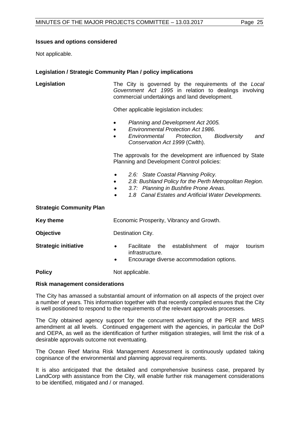#### **Issues and options considered**

Not applicable.

#### **Legislation / Strategic Community Plan / policy implications**

**Legislation** The City is governed by the requirements of the *Local Government Act 1995* in relation to dealings involving commercial undertakings and land development.

Other applicable legislation includes:

- *Planning and Development Act 2005.*
- *Environmental Protection Act 1986.*
- *Environmental Protection, Biodiversity and Conservation Act 1999* (Cwlth).

The approvals for the development are influenced by State Planning and Development Control policies:

- *2.6: State Coastal Planning Policy.*
- *2.8: Bushland Policy for the Perth Metropolitan Region.*
- *3.7: Planning in Bushfire Prone Areas.*
- *1.8 Canal Estates and Artificial Water Developments.*

#### **Strategic Community Plan**

**Key theme Economic Prosperity, Vibrancy and Growth.** 

- **Strategic initiative Facilitate** the establishment of major tourism infrastructure.
	- Encourage diverse accommodation options.

**Policy** Not applicable.

#### **Risk management considerations**

**Objective** Destination City.

The City has amassed a substantial amount of information on all aspects of the project over a number of years. This information together with that recently compiled ensures that the City is well positioned to respond to the requirements of the relevant approvals processes.

The City obtained agency support for the concurrent advertising of the PER and MRS amendment at all levels. Continued engagement with the agencies, in particular the DoP and OEPA, as well as the identification of further mitigation strategies, will limit the risk of a desirable approvals outcome not eventuating.

The Ocean Reef Marina Risk Management Assessment is continuously updated taking cognisance of the environmental and planning approval requirements.

It is also anticipated that the detailed and comprehensive business case, prepared by LandCorp with assistance from the City, will enable further risk management considerations to be identified, mitigated and / or managed.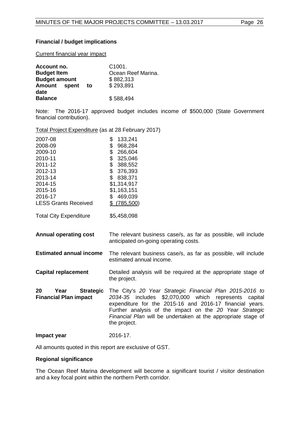# **Financial / budget implications**

Current financial year impact

| Account no.          |    | C <sub>1001</sub>  |
|----------------------|----|--------------------|
| <b>Budget Item</b>   |    | Ocean Reef Marina. |
| <b>Budget amount</b> |    | \$882,313          |
| Amount spent         | to | \$293,891          |
| date                 |    |                    |
| <b>Balance</b>       |    | \$588,494          |

Note: The 2016-17 approved budget includes income of \$500,000 (State Government financial contribution).

Total Project Expenditure (as at 28 February 2017)

| 2007-08<br>2008-09<br>2009-10<br>2010-11<br>2011-12<br>2012-13<br>2013-14<br>2014-15<br>2015-16<br>2016-17<br><b>LESS Grants Received</b><br><b>Total City Expenditure</b> | \$<br>133,241<br>\$<br>968,284<br>\$<br>266,604<br>\$<br>325,046<br>\$<br>388,552<br>\$<br>376,393<br>\$838,371<br>\$1,314,917<br>\$1,163,151<br>469,039<br>\$<br>$$$ (785,500)<br>\$5,458,098                                                                                                                               |
|----------------------------------------------------------------------------------------------------------------------------------------------------------------------------|------------------------------------------------------------------------------------------------------------------------------------------------------------------------------------------------------------------------------------------------------------------------------------------------------------------------------|
| <b>Annual operating cost</b>                                                                                                                                               | The relevant business case/s, as far as possible, will include<br>anticipated on-going operating costs.                                                                                                                                                                                                                      |
| <b>Estimated annual income</b>                                                                                                                                             | The relevant business case/s, as far as possible, will include<br>estimated annual income.                                                                                                                                                                                                                                   |
| <b>Capital replacement</b>                                                                                                                                                 | Detailed analysis will be required at the appropriate stage of<br>the project.                                                                                                                                                                                                                                               |
| 20<br>Year<br><b>Strategic</b><br><b>Financial Plan impact</b>                                                                                                             | The City's 20 Year Strategic Financial Plan 2015-2016 to<br>2034-35 includes \$2,070,000 which<br>represents capital<br>expenditure for the 2015-16 and 2016-17 financial years.<br>Further analysis of the impact on the 20 Year Strategic<br>Financial Plan will be undertaken at the appropriate stage of<br>the project. |
| Impact year                                                                                                                                                                | 2016-17.                                                                                                                                                                                                                                                                                                                     |

All amounts quoted in this report are exclusive of GST.

#### **Regional significance**

The Ocean Reef Marina development will become a significant tourist / visitor destination and a key focal point within the northern Perth corridor.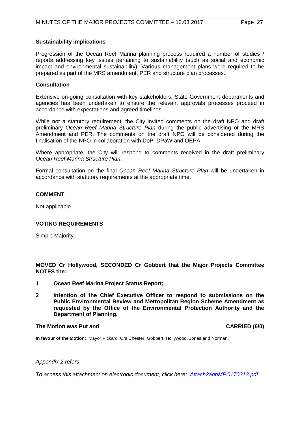#### **Sustainability implications**

Progression of the Ocean Reef Marina planning process required a number of studies / reports addressing key issues pertaining to sustainability (such as social and economic impact and environmental sustainability). Various management plans were required to be prepared as part of the MRS amendment, PER and structure plan processes.

#### **Consultation**

Extensive on-going consultation with key stakeholders, State Government departments and agencies has been undertaken to ensure the relevant approvals processes proceed in accordance with expectations and agreed timelines.

While not a statutory requirement, the City invited comments on the draft NPO and draft preliminary *Ocean Reef Marina Structure Plan* during the public advertising of the MRS Amendment and PER. The comments on the draft NPO will be considered during the finalisation of the NPO in collaboration with DoP, DPaW and OEPA.

Where appropriate, the City will respond to comments received in the draft preliminary *Ocean Reef Marina Structure Plan*.

Formal consultation on the final *Ocean Reef Marina Structure Plan* will be undertaken in accordance with statutory requirements at the appropriate time.

#### **COMMENT**

Not applicable.

#### **VOTING REQUIREMENTS**

Simple Majority.

**MOVED Cr Hollywood, SECONDED Cr Gobbert that the Major Projects Committee NOTES the:**

- **1 Ocean Reef Marina Project Status Report;**
- **2 intention of the Chief Executive Officer to respond to submissions on the Public Environmental Review and Metropolitan Region Scheme Amendment as requested by the Office of the Environmental Protection Authority and the Department of Planning.**

#### **The Motion was Put and CARRIED (6/0)**

**In favour of the Motion:** Mayor Pickard, Crs Chester, Gobbert, Hollywood, Jones and Norman.

#### *Appendix 2 refers*

*[To access this attachment on electronic document, click here: Attach2agnMPC170313.pdf](http://www.joondalup.wa.gov.au/files/committees/MAPC/2017/Attach2agnMPC170313.pdf)*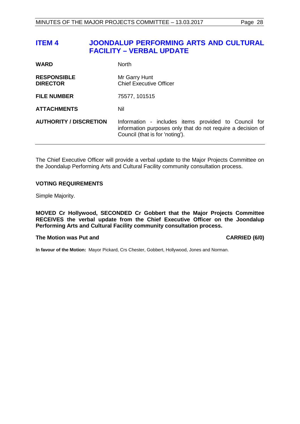#### <span id="page-27-0"></span>**ITEM 4 JOONDALUP PERFORMING ARTS AND CULTURAL FACILITY – VERBAL UPDATE**

| <b>WARD</b>                           | <b>North</b>                                                                                                                                           |
|---------------------------------------|--------------------------------------------------------------------------------------------------------------------------------------------------------|
| <b>RESPONSIBLE</b><br><b>DIRECTOR</b> | Mr Garry Hunt<br><b>Chief Executive Officer</b>                                                                                                        |
| <b>FILE NUMBER</b>                    | 75577, 101515                                                                                                                                          |
| <b>ATTACHMENTS</b>                    | Nil                                                                                                                                                    |
| <b>AUTHORITY / DISCRETION</b>         | Information - includes items provided to Council for<br>information purposes only that do not require a decision of<br>Council (that is for 'noting'). |

The Chief Executive Officer will provide a verbal update to the Major Projects Committee on the Joondalup Performing Arts and Cultural Facility community consultation process.

#### **VOTING REQUIREMENTS**

Simple Majority.

**MOVED Cr Hollywood, SECONDED Cr Gobbert that the Major Projects Committee RECEIVES the verbal update from the Chief Executive Officer on the Joondalup Performing Arts and Cultural Facility community consultation process.**

#### **The Motion was Put and CARRIED (6/0)**

**In favour of the Motion:** Mayor Pickard, Crs Chester, Gobbert, Hollywood, Jones and Norman.